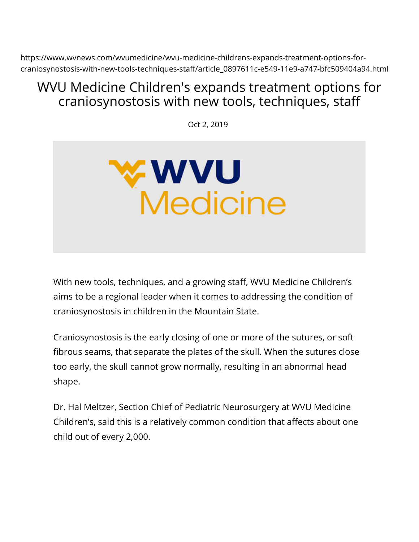https://www.wvnews.com/wvumedicine/wvu-medicine-childrens-expands-treatment-options-forcraniosynostosis-with-new-tools-techniques-staff/article\_0897611c-e549-11e9-a747-bfc509404a94.html

## WVU Medicine Children's expands treatment options for craniosynostosis with new tools, techniques, staff

Oct 2, 2019



With new tools, techniques, and a growing staff, WVU Medicine Children's aims to be a regional leader when it comes to addressing the condition of craniosynostosis in children in the Mountain State.

Craniosynostosis is the early closing of one or more of the sutures, or soft fibrous seams, that separate the plates of the skull. When the sutures close too early, the skull cannot grow normally, resulting in an abnormal head shape.

Dr. Hal Meltzer, Section Chief of Pediatric Neurosurgery at WVU Medicine Children's, said this is a relatively common condition that affects about one child out of every 2,000.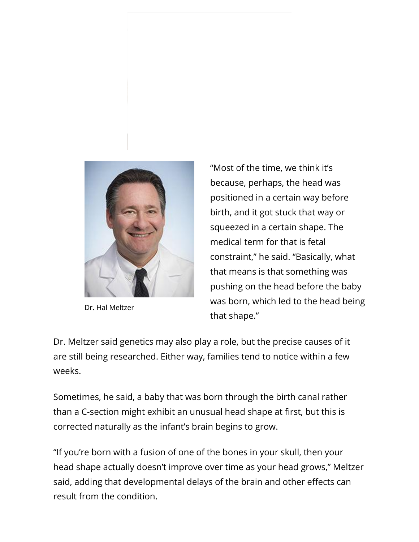

Dr. Hal Meltzer

"Most of the time, we think it's because, perhaps, the head was positioned in a certain way before birth, and it got stuck that way or squeezed in a certain shape. The medical term for that is fetal constraint," he said. "Basically, what that means is that something was pushing on the head before the baby was born, which led to the head being that shape."

Dr. Meltzer said genetics may also play a role, but the precise causes of it are still being researched. Either way, families tend to notice within a few weeks.

Sometimes, he said, a baby that was born through the birth canal rather than a C-section might exhibit an unusual head shape at first, but this is corrected naturally as the infant's brain begins to grow.

"If you're born with a fusion of one of the bones in your skull, then your head shape actually doesn't improve over time as your head grows," Meltzer said, adding that developmental delays of the brain and other effects can result from the condition.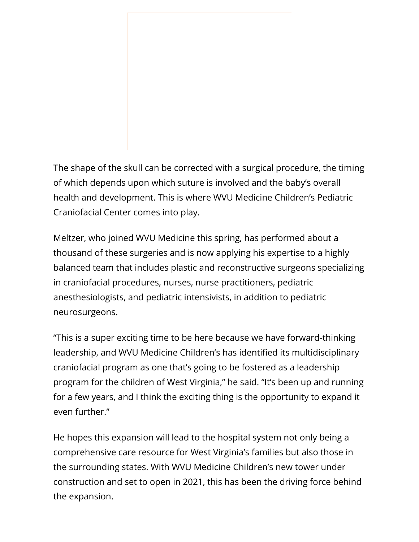The shape of the skull can be corrected with a surgical procedure, the timing of which depends upon which suture is involved and the baby's overall health and development. This is where WVU Medicine Children's Pediatric Craniofacial Center comes into play.

Meltzer, who joined WVU Medicine this spring, has performed about a thousand of these surgeries and is now applying his expertise to a highly balanced team that includes plastic and reconstructive surgeons specializing in craniofacial procedures, nurses, nurse practitioners, pediatric anesthesiologists, and pediatric intensivists, in addition to pediatric neurosurgeons.

"This is a super exciting time to be here because we have forward-thinking leadership, and WVU Medicine Children's has identified its multidisciplinary craniofacial program as one that's going to be fostered as a leadership program for the children of West Virginia," he said. "It's been up and running for a few years, and I think the exciting thing is the opportunity to expand it even further."

He hopes this expansion will lead to the hospital system not only being a comprehensive care resource for West Virginia's families but also those in the surrounding states. With WVU Medicine Children's new tower under construction and set to open in 2021, this has been the driving force behind the expansion.